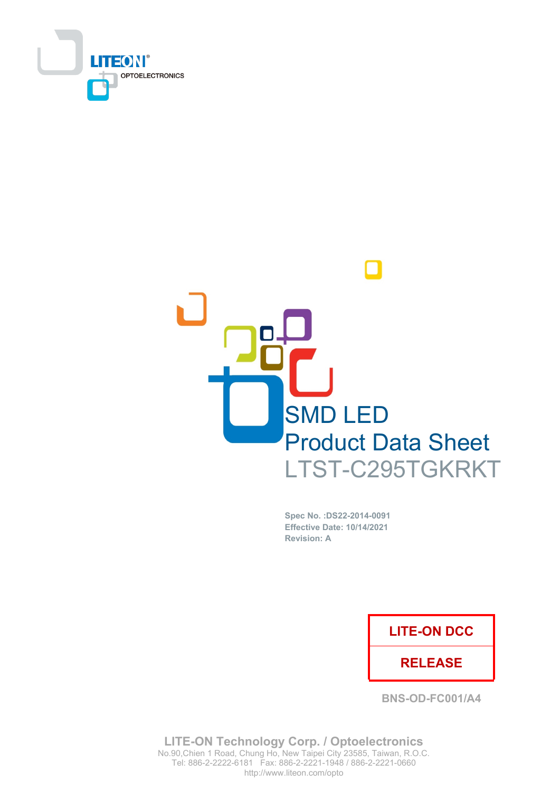



Spec No. : DS22-2014-0091 Effective Date: 10/14/2021 **Revision: A** 

#### **LITE-ON DCC**

#### **RELEASE**

**BNS-OD-FC001/A4** 

**LITE-ON Technology Corp. / Optoelectronics** No.90, Chien 1 Road, Chung Ho, New Taipei City 23585, Taiwan, R.O.C. Tel: 886-2-2222-6181 Fax: 886-2-2221-1948 / 886-2-2221-0660 http://www.liteon.com/opto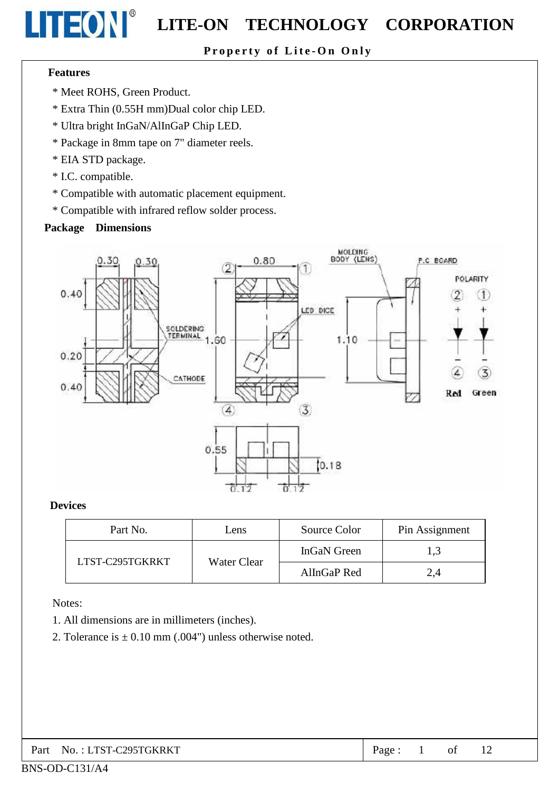#### Property of Lite-On Only

#### **Features**

**LITEON®** 

- \* Meet ROHS, Green Product.
- \* Extra Thin (0.55H mm)Dual color chip LED.
- \* Ultra bright InGaN/AlInGaP Chip LED.
- \* Package in 8mm tape on 7" diameter reels.
- \* EIA STD package.
- \* I.C. compatible.
- \* Compatible with automatic placement equipment.
- \* Compatible with infrared reflow solder process.

#### **Package Dimensions**



#### **Devices**

| Part No.<br>Lens |             | Source Color | Pin Assignment |  |
|------------------|-------------|--------------|----------------|--|
|                  |             | InGaN Green  | 1,3            |  |
| LTST-C295TGKRKT  | Water Clear | AllnGaP Red  | 2.4            |  |

Notes:

- 1. All dimensions are in millimeters (inches).
- 2. Tolerance is  $\pm$  0.10 mm (.004") unless otherwise noted.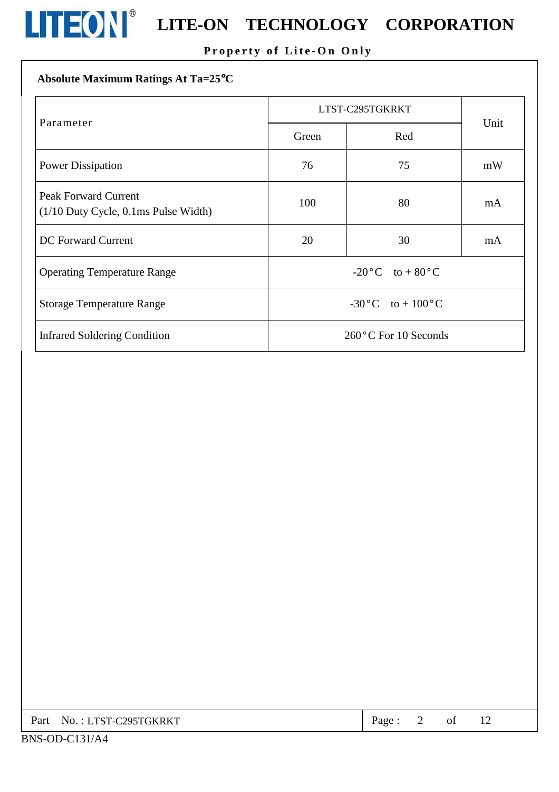

# LITEON<sup>®</sup> LITE-ON TECHNOLOGY CORPORATION

### Property of Lite-On Only

| Absolute Maximum Ratings At Ta=25°C                                      |       |                         |      |  |  |
|--------------------------------------------------------------------------|-------|-------------------------|------|--|--|
| Parameter                                                                |       | LTST-C295TGKRKT         |      |  |  |
|                                                                          | Green | Red                     | Unit |  |  |
| <b>Power Dissipation</b>                                                 | 76    | 75                      | mW   |  |  |
| <b>Peak Forward Current</b><br>$(1/10$ Duty Cycle, $0.1$ ms Pulse Width) | 100   | 80                      | mA   |  |  |
| <b>DC</b> Forward Current                                                | 20    | 30                      | mA   |  |  |
| <b>Operating Temperature Range</b>                                       |       | $-20$ °C to + 80°C      |      |  |  |
| <b>Storage Temperature Range</b>                                         |       | $-30$ °C to + 100 °C    |      |  |  |
| <b>Infrared Soldering Condition</b>                                      |       | $260$ °C For 10 Seconds |      |  |  |

| Part No.: LTST-C295TGKRKT | Page: |  |  |
|---------------------------|-------|--|--|
|---------------------------|-------|--|--|

12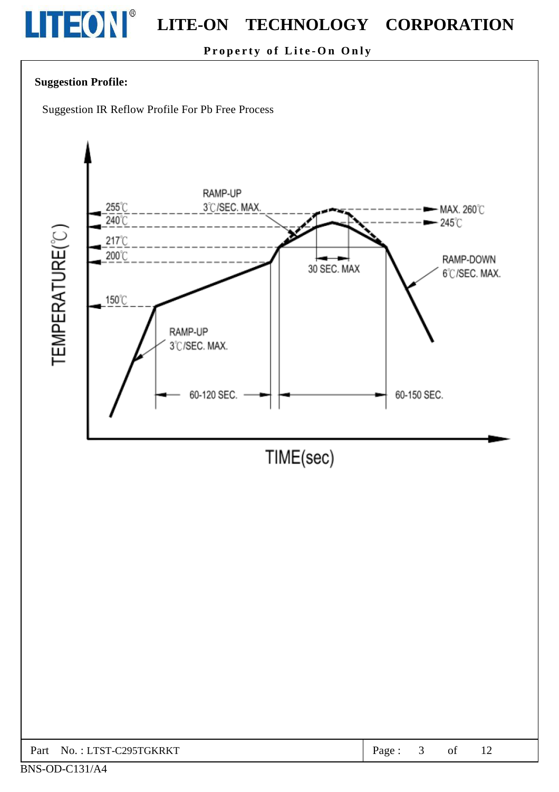Property of Lite-On Only

#### **Suggestion Profile:**

LITEON®

Suggestion IR Reflow Profile For Pb Free Process



| Part No.: LTST-C295TGKRKT | Page: |  |  |  |
|---------------------------|-------|--|--|--|
|---------------------------|-------|--|--|--|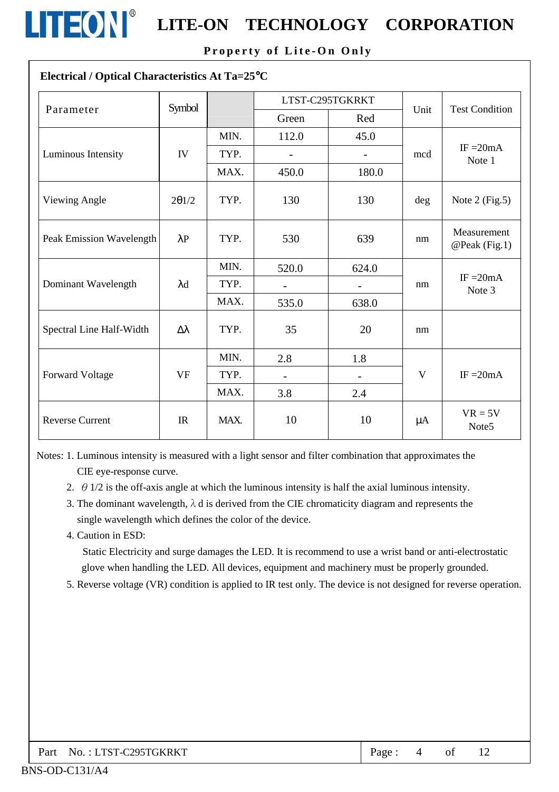

Property of Lite-On Only

 $- - - -$ 

 $\overline{a}$   $\overline{b}$   $\overline{b}$ 

| Electrical / Optical Characteristics At $1a=25^{\circ}C$ |                                            |      |                          |                          |         |                                |  |
|----------------------------------------------------------|--------------------------------------------|------|--------------------------|--------------------------|---------|--------------------------------|--|
|                                                          | Symbol                                     |      | LTST-C295TGKRKT          |                          |         |                                |  |
| Parameter                                                |                                            |      | Green                    | Red                      | Unit    | <b>Test Condition</b>          |  |
|                                                          |                                            | MIN. | 112.0                    | 45.0                     |         |                                |  |
| Luminous Intensity                                       | IV                                         | TYP. | $\blacksquare$           | $\overline{\phantom{a}}$ | mcd     | IF $=20mA$<br>Note 1           |  |
|                                                          |                                            | MAX. | 450.0                    | 180.0                    |         |                                |  |
| Viewing Angle                                            | 201/2                                      | TYP. | 130                      | 130                      | deg     | Note $2$ (Fig.5)               |  |
| Peak Emission Wavelength                                 | $\lambda$ P                                | TYP. | 530                      | 639                      | nm      | Measurement<br>@Peak (Fig.1)   |  |
|                                                          | $\lambda$ d                                | MIN. | 520.0                    | 624.0                    | nm      |                                |  |
| Dominant Wavelength                                      |                                            | TYP. | $\overline{\phantom{0}}$ |                          |         | $IF = 20mA$<br>Note 3          |  |
|                                                          |                                            | MAX. | 535.0                    | 638.0                    |         |                                |  |
| Spectral Line Half-Width                                 | $\Delta \lambda$                           | TYP. | 35                       | 20                       | nm      |                                |  |
|                                                          |                                            | MIN. | 2.8                      | 1.8                      |         |                                |  |
| Forward Voltage                                          | <b>VF</b>                                  | TYP. | $\overline{\phantom{0}}$ |                          | V       | $IF = 20mA$                    |  |
|                                                          |                                            | MAX. | 3.8                      | 2.4                      |         |                                |  |
| <b>Reverse Current</b>                                   | $\ensuremath{\mathop{\mathrm{IR}}}\xspace$ | MAX. | 10                       | 10                       | $\mu A$ | $VR = 5V$<br>Note <sub>5</sub> |  |

Notes: 1. Luminous intensity is measured with a light sensor and filter combination that approximates the CIE eye-response curve.

- 2.  $\theta$  1/2 is the off-axis angle at which the luminous intensity is half the axial luminous intensity.
- 3. The dominant wavelength,  $\lambda$  d is derived from the CIE chromaticity diagram and represents the single wavelength which defines the color of the device.
- 4. Caution in ESD:

LITEON®

Static Electricity and surge damages the LED. It is recommend to use a wrist band or anti-electrostatic glove when handling the LED. All devices, equipment and machinery must be properly grounded.

5. Reverse voltage (VR) condition is applied to IR test only. The device is not designed for reverse operation.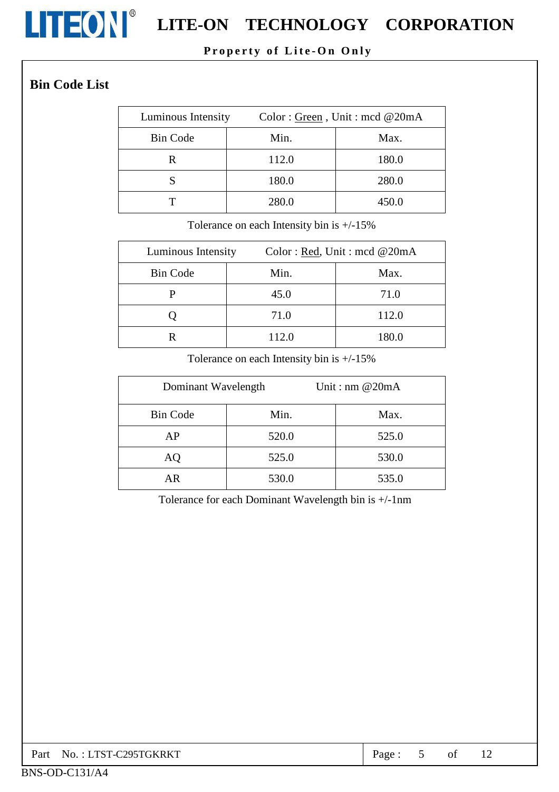**LITEON**<sup>®</sup> LITE-ON TECHNOLOGY CORPORATION

#### Property of Lite-On Only

#### **Bin Code List**

| Luminous Intensity |       | Color: Green, Unit: med @20mA |
|--------------------|-------|-------------------------------|
| <b>Bin Code</b>    | Min.  | Max.                          |
|                    | 112.0 | 180.0                         |
|                    | 180.0 | 280.0                         |
|                    | 280.0 | 450.0                         |

Tolerance on each Intensity bin is  $+/-15\%$ 

| Luminous Intensity | Color: Red, Unit: mcd @20mA |       |  |
|--------------------|-----------------------------|-------|--|
| <b>Bin Code</b>    | Min.                        | Max.  |  |
|                    | 45.0                        | 71.0  |  |
|                    | 71.0                        | 112.0 |  |
|                    | 112.0                       | 180.0 |  |

Tolerance on each Intensity bin is  $+/-15\%$ 

| Dominant Wavelength |       | Unit: nm $@20mA$ |
|---------------------|-------|------------------|
| <b>Bin Code</b>     | Min.  | Max.             |
| AP                  | 520.0 | 525.0            |
| AQ                  | 525.0 | 530.0            |
| AR                  | 530.0 | 535.0            |

Tolerance for each Dominant Wavelength bin is +/-1nm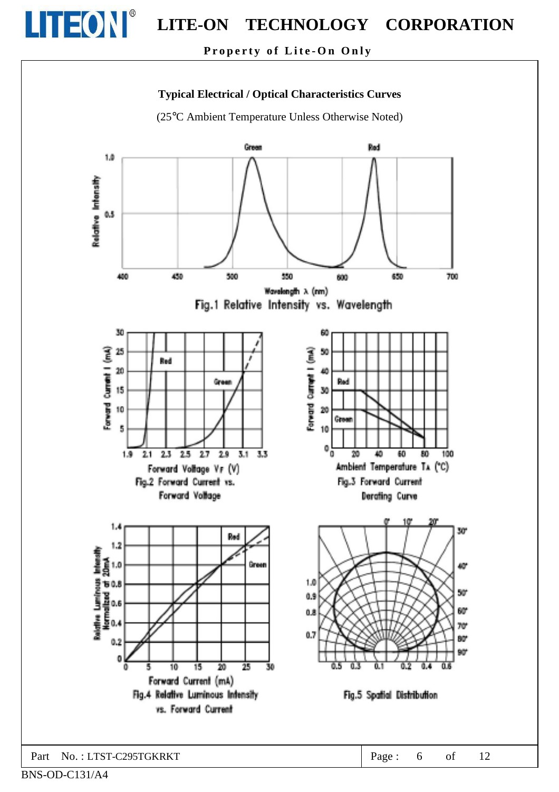

Property of Lite-On Only

#### **Typical Electrical / Optical Characteristics Curves**

(25°C Ambient Temperature Unless Otherwise Noted)



Part

LITEON®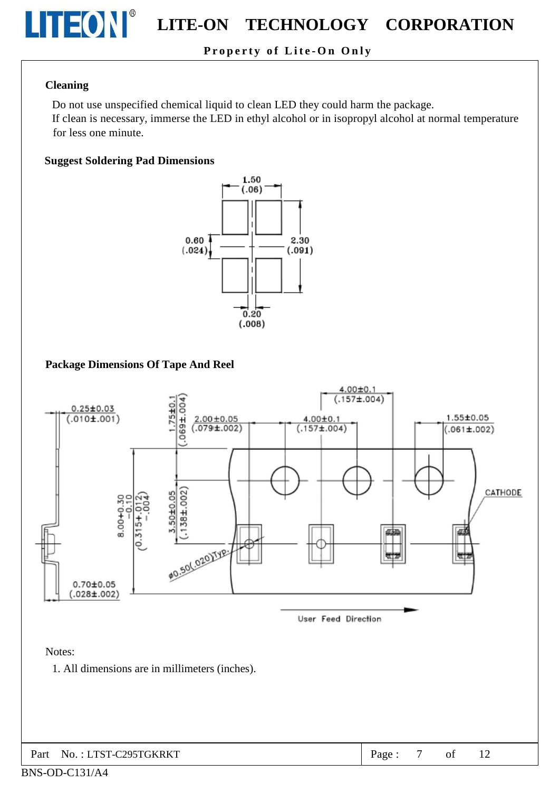Property of Lite-On Only

#### **Cleaning**

LITEON®

Do not use unspecified chemical liquid to clean LED they could harm the package. If clean is necessary, immerse the LED in ethyl alcohol or in isopropyl alcohol at normal temperature for less one minute.

#### **Suggest Soldering Pad Dimensions**



#### **Package Dimensions Of Tape And Reel**



Notes:

1. All dimensions are in millimeters (inches).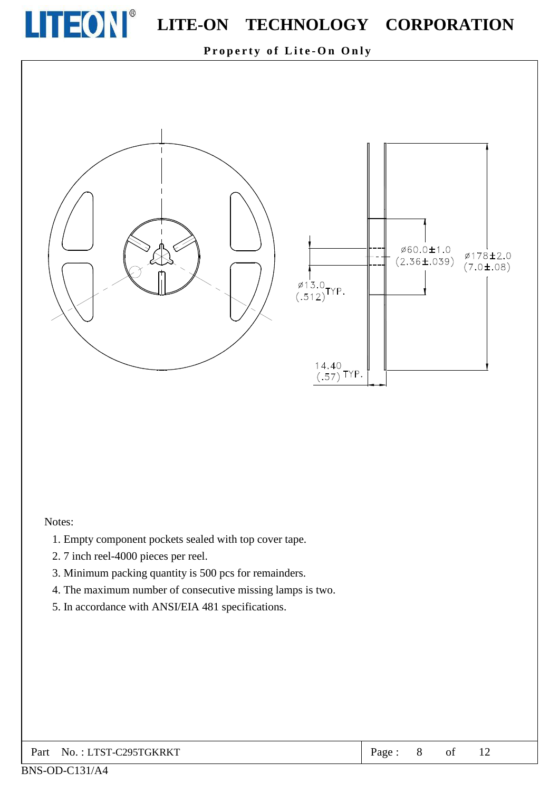

Property of Lite-On Only



#### Notes:

- 1. Empty component pockets sealed with top cover tape.
- 2.7 inch reel-4000 pieces per reel.
- 3. Minimum packing quantity is 500 pcs for remainders.
- 4. The maximum number of consecutive missing lamps is two.
- 5. In accordance with ANSI/EIA 481 specifications.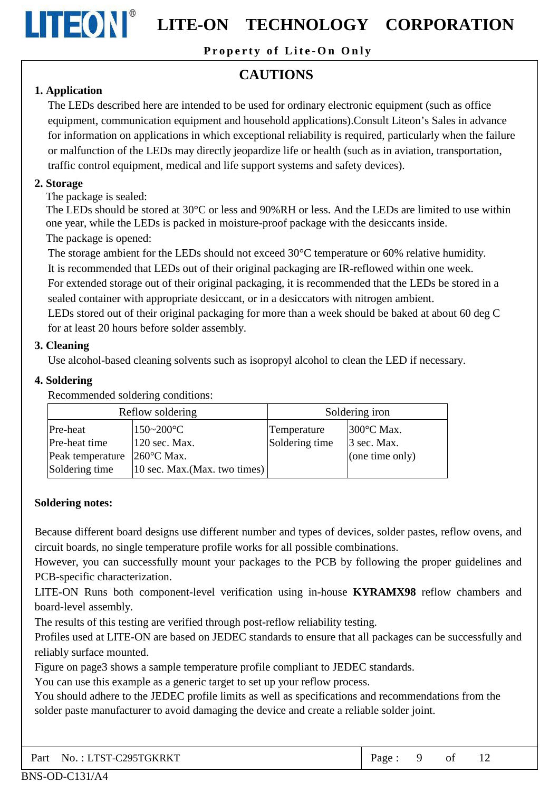**LITEON** LITE-ON TECHNOLOGY CORPORATION

Property of Lite-On Only

### **CAUTIONS**

#### 1. Application

The LEDs described here are intended to be used for ordinary electronic equipment (such as office equipment, communication equipment and household applications). Consult Liteon's Sales in advance for information on applications in which exceptional reliability is required, particularly when the failure or malfunction of the LEDs may directly jeopardize life or health (such as in aviation, transportation, traffic control equipment, medical and life support systems and safety devices).

#### 2. Storage

The package is sealed:

The LEDs should be stored at 30°C or less and 90%RH or less. And the LEDs are limited to use within one year, while the LEDs is packed in moisture-proof package with the desiccants inside. The package is opened:

The storage ambient for the LEDs should not exceed 30°C temperature or 60% relative humidity.

It is recommended that LEDs out of their original packaging are IR-reflowed within one week.

For extended storage out of their original packaging, it is recommended that the LEDs be stored in a sealed container with appropriate desiccant, or in a desiccators with nitrogen ambient.

LEDs stored out of their original packaging for more than a week should be baked at about 60 deg C for at least 20 hours before solder assembly.

#### 3. Cleaning

Use alcohol-based cleaning solvents such as isopropyl alcohol to clean the LED if necessary.

#### 4. Soldering

Recommended soldering conditions:

| Reflow soldering |                                           | Soldering iron |                      |  |
|------------------|-------------------------------------------|----------------|----------------------|--|
| Pre-heat         | $150 - 200$ °C                            | Temperature    | $300^{\circ}$ C Max. |  |
| Pre-heat time    | $120$ sec. Max.                           | Soldering time | $\beta$ sec. Max.    |  |
| Peak temperature | $260^{\circ}$ C Max.                      |                | (one time only)      |  |
| Soldering time   | $ 10 \text{ sec. } Max.(Max. two times) $ |                |                      |  |

#### **Soldering notes:**

Because different board designs use different number and types of devices, solder pastes, reflow ovens, and circuit boards, no single temperature profile works for all possible combinations.

However, you can successfully mount your packages to the PCB by following the proper guidelines and PCB-specific characterization.

LITE-ON Runs both component-level verification using in-house KYRAMX98 reflow chambers and board-level assembly.

The results of this testing are verified through post-reflow reliability testing.

Profiles used at LITE-ON are based on JEDEC standards to ensure that all packages can be successfully and reliably surface mounted.

Figure on page3 shows a sample temperature profile compliant to JEDEC standards.

You can use this example as a generic target to set up your reflow process.

You should adhere to the JEDEC profile limits as well as specifications and recommendations from the solder paste manufacturer to avoid damaging the device and create a reliable solder joint.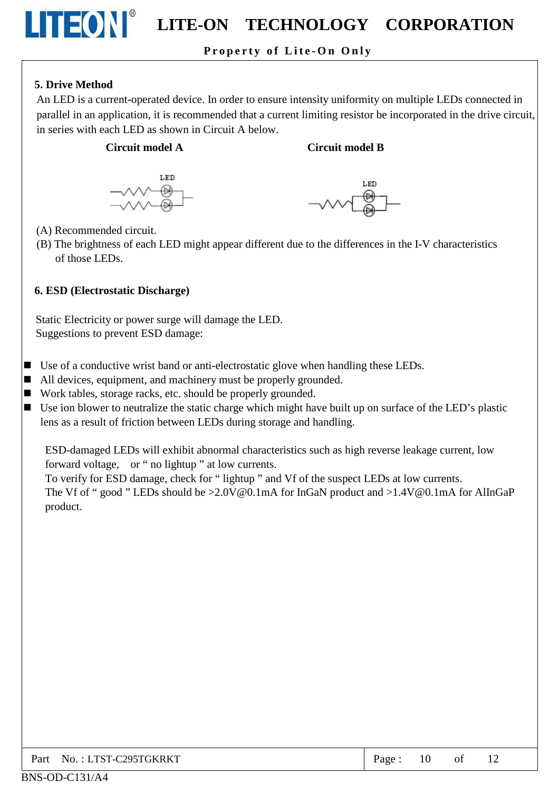#### Property of Lite-On Only

#### 5. Drive Method

**LITEON®** 

An LED is a current-operated device. In order to ensure intensity uniformity on multiple LEDs connected in parallel in an application, it is recommended that a current limiting resistor be incorporated in the drive circuit, in series with each LED as shown in Circuit A below.

#### **Circuit model A**

#### **Circuit model B**





- (A) Recommended circuit.
- (B) The brightness of each LED might appear different due to the differences in the I-V characteristics of those LEDs.

#### 6. ESD (Electrostatic Discharge)

Static Electricity or power surge will damage the LED. Suggestions to prevent ESD damage:

 $\blacksquare$  Use of a conductive wrist band or anti-electrostatic glove when handling these LEDs.

■ All devices, equipment, and machinery must be properly grounded.

■ Work tables, storage racks, etc. should be properly grounded.

 $\blacksquare$  Use ion blower to neutralize the static charge which might have built up on surface of the LED's plastic lens as a result of friction between LEDs during storage and handling.

ESD-damaged LEDs will exhibit abnormal characteristics such as high reverse leakage current, low forward voltage, or "no lightup" at low currents.

To verify for ESD damage, check for "lightup" and Vf of the suspect LEDs at low currents.

The Vf of "good" LEDs should be >2.0V@0.1mA for InGaN product and >1.4V@0.1mA for AlInGaP product.

| Part No.: LTST-C295TGKRKT | Page: | - 10 | of |  |
|---------------------------|-------|------|----|--|
|---------------------------|-------|------|----|--|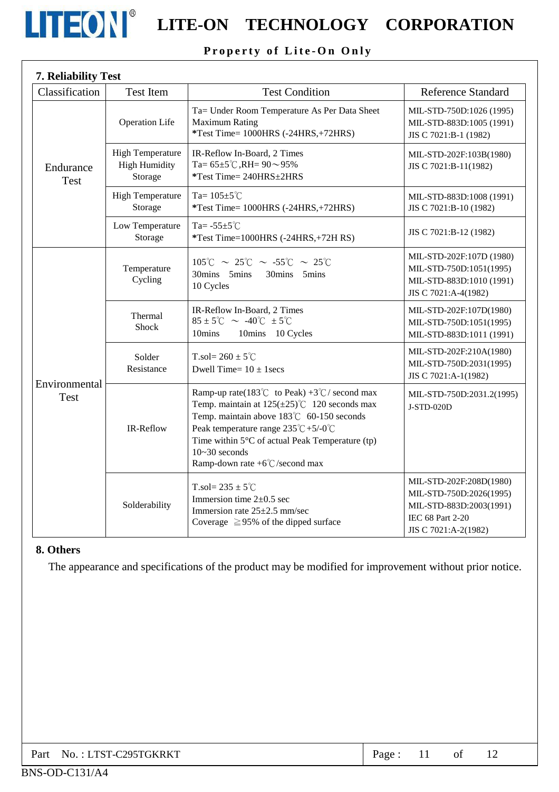

**LITEON**<sup>®</sup> LITE-ON TECHNOLOGY CORPORATION

#### Property of Lite-On Only

| 7. Reliability Test          |                                                            |                                                                                                                                                                                                                                                                                                                                                    |                                                                                                                                  |
|------------------------------|------------------------------------------------------------|----------------------------------------------------------------------------------------------------------------------------------------------------------------------------------------------------------------------------------------------------------------------------------------------------------------------------------------------------|----------------------------------------------------------------------------------------------------------------------------------|
| Classification               | <b>Test Item</b>                                           | <b>Test Condition</b>                                                                                                                                                                                                                                                                                                                              | <b>Reference Standard</b>                                                                                                        |
| Endurance<br><b>Test</b>     | <b>Operation Life</b>                                      | Ta= Under Room Temperature As Per Data Sheet<br><b>Maximum Rating</b><br>*Test Time= 1000HRS (-24HRS,+72HRS)                                                                                                                                                                                                                                       | MIL-STD-750D:1026 (1995)<br>MIL-STD-883D:1005 (1991)<br>JIS C 7021:B-1 (1982)                                                    |
|                              | <b>High Temperature</b><br><b>High Humidity</b><br>Storage | IR-Reflow In-Board, 2 Times<br>Ta= $65\pm5^{\circ}$ C, RH= $90\sim95\%$<br>*Test Time= 240HRS±2HRS                                                                                                                                                                                                                                                 | MIL-STD-202F:103B(1980)<br>JIS C 7021:B-11(1982)                                                                                 |
|                              | <b>High Temperature</b><br>Storage                         | Ta= $105 \pm 5^{\circ}$ C<br>$*Test Time = 1000HRS (-24HRS,+72HRS)$                                                                                                                                                                                                                                                                                | MIL-STD-883D:1008 (1991)<br>JIS C 7021:B-10 (1982)                                                                               |
|                              | Low Temperature<br>Storage                                 | Ta= $-55\pm5^{\circ}$ C<br>*Test Time=1000HRS (-24HRS,+72H RS)                                                                                                                                                                                                                                                                                     | JIS C 7021:B-12 (1982)                                                                                                           |
| Environmental<br><b>Test</b> | Temperature<br>Cycling                                     | $105^{\circ}$ C ~ 25°C ~ -55°C ~ 25°C<br>30mins 5mins<br>30mins 5mins<br>10 Cycles                                                                                                                                                                                                                                                                 | MIL-STD-202F:107D (1980)<br>MIL-STD-750D:1051(1995)<br>MIL-STD-883D:1010 (1991)<br>JIS C 7021:A-4(1982)                          |
|                              | Thermal<br>Shock                                           | IR-Reflow In-Board, 2 Times<br>$85 \pm 5^{\circ}$ C ~ -40 $^{\circ}$ C $\pm 5^{\circ}$ C<br>10mins<br>10mins 10 Cycles                                                                                                                                                                                                                             | MIL-STD-202F:107D(1980)<br>MIL-STD-750D:1051(1995)<br>MIL-STD-883D:1011 (1991)                                                   |
|                              | Solder<br>Resistance                                       | T.sol= $260 \pm 5^{\circ}$ C<br>Dwell Time= $10 \pm 1$ secs                                                                                                                                                                                                                                                                                        | MIL-STD-202F:210A(1980)<br>MIL-STD-750D:2031(1995)<br>JIS C 7021:A-1(1982)                                                       |
|                              | IR-Reflow                                                  | Ramp-up rate(183°C to Peak) +3°C/ second max<br>Temp. maintain at $125(\pm 25)$ °C 120 seconds max<br>Temp. maintain above 183°C 60-150 seconds<br>Peak temperature range $235^{\circ}\text{C} + 5/-0^{\circ}\text{C}$<br>Time within $5^{\circ}$ C of actual Peak Temperature (tp)<br>$10-30$ seconds<br>Ramp-down rate $+6^{\circ}$ C/second max | MIL-STD-750D:2031.2(1995)<br><b>J-STD-020D</b>                                                                                   |
|                              | Solderability                                              | T.sol= $235 \pm 5^{\circ}$ C<br>Immersion time $2\pm 0.5$ sec<br>Immersion rate $25\pm2.5$ mm/sec<br>Coverage $\geq$ 95% of the dipped surface                                                                                                                                                                                                     | MIL-STD-202F:208D(1980)<br>MIL-STD-750D:2026(1995)<br>MIL-STD-883D:2003(1991)<br><b>IEC 68 Part 2-20</b><br>JIS C 7021:A-2(1982) |

#### 8. Others

The appearance and specifications of the product may be modified for improvement without prior notice.